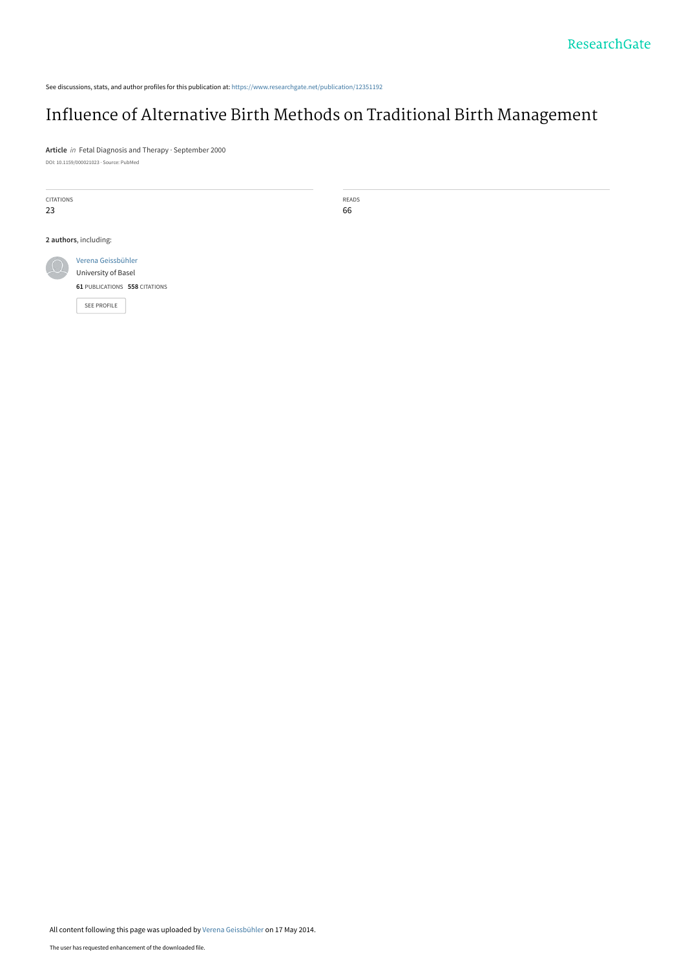See discussions, stats, and author profiles for this publication at: [https://www.researchgate.net/publication/12351192](https://www.researchgate.net/publication/12351192_Influence_of_Alternative_Birth_Methods_on_Traditional_Birth_Management?enrichId=rgreq-4a22b1cd5eeda3b7b3a39097cae426c4-XXX&enrichSource=Y292ZXJQYWdlOzEyMzUxMTkyO0FTOjk3NzIwNjU2MjAzNzc2QDE0MDAzMDk4MjgwMjk%3D&el=1_x_2&_esc=publicationCoverPdf)

# [Influence of Alternative Birth Methods on Traditional Birth Management](https://www.researchgate.net/publication/12351192_Influence_of_Alternative_Birth_Methods_on_Traditional_Birth_Management?enrichId=rgreq-4a22b1cd5eeda3b7b3a39097cae426c4-XXX&enrichSource=Y292ZXJQYWdlOzEyMzUxMTkyO0FTOjk3NzIwNjU2MjAzNzc2QDE0MDAzMDk4MjgwMjk%3D&el=1_x_3&_esc=publicationCoverPdf)

**Article** in Fetal Diagnosis and Therapy · September 2000 DOI: 10.1159/000021023 · Source: PubMed

| CITATIONS<br>23       |                                           | READS<br>66 |
|-----------------------|-------------------------------------------|-------------|
| 2 authors, including: |                                           |             |
| $\mathbb{Q}$          | Verena Geissbühler<br>University of Basel |             |
|                       | 61 PUBLICATIONS 558 CITATIONS             |             |
|                       | <b>SEE PROFILE</b>                        |             |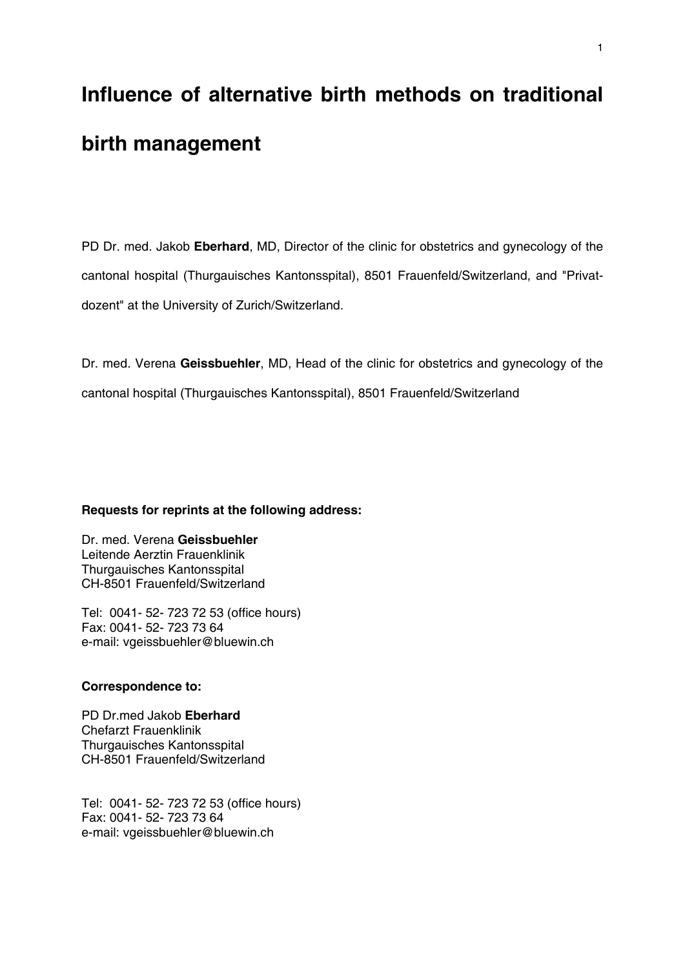# **Influence of alternative birth methods on traditional birth management**

PD Dr. med. Jakob **Eberhard**, MD, Director of the clinic for obstetrics and gynecology of the cantonal hospital (Thurgauisches Kantonsspital), 8501 Frauenfeld/Switzerland, and "Privatdozent" at the University of Zurich/Switzerland.

Dr. med. Verena **Geissbuehler**, MD, Head of the clinic for obstetrics and gynecology of the cantonal hospital (Thurgauisches Kantonsspital), 8501 Frauenfeld/Switzerland

## **Requests for reprints at the following address:**

Dr. med. Verena **Geissbuehler** Leitende Aerztin Frauenklinik Thurgauisches Kantonsspital CH-8501 Frauenfeld/Switzerland

Tel: 0041- 52- 723 72 53 (office hours) Fax: 0041- 52- 723 73 64 e-mail: vgeissbuehler@bluewin.ch

## **Correspondence to:**

PD Dr.med Jakob **Eberhard**  Chefarzt Frauenklinik Thurgauisches Kantonsspital CH-8501 Frauenfeld/Switzerland

Tel: 0041- 52- 723 72 53 (office hours) Fax: 0041- 52- 723 73 64 e-mail: vgeissbuehler@bluewin.ch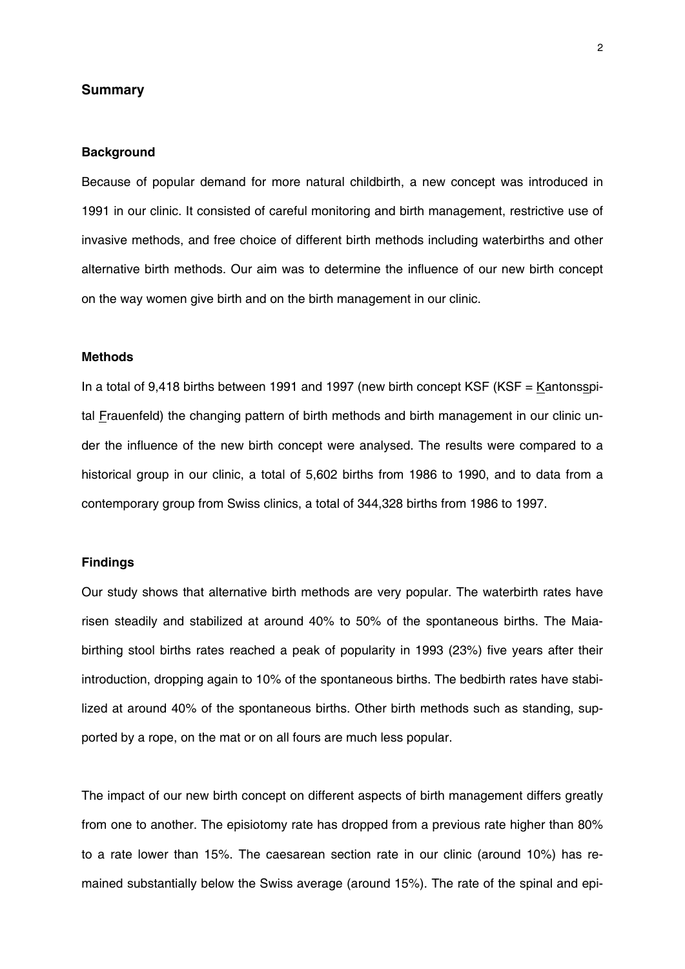#### **Summary**

#### **Background**

Because of popular demand for more natural childbirth, a new concept was introduced in 1991 in our clinic. It consisted of careful monitoring and birth management, restrictive use of invasive methods, and free choice of different birth methods including waterbirths and other alternative birth methods. Our aim was to determine the influence of our new birth concept on the way women give birth and on the birth management in our clinic.

#### **Methods**

In a total of 9,418 births between 1991 and 1997 (new birth concept KSF (KSF  $=$  Kantonsspital Frauenfeld) the changing pattern of birth methods and birth management in our clinic under the influence of the new birth concept were analysed. The results were compared to a historical group in our clinic, a total of 5,602 births from 1986 to 1990, and to data from a contemporary group from Swiss clinics, a total of 344,328 births from 1986 to 1997.

#### **Findings**

Our study shows that alternative birth methods are very popular. The waterbirth rates have risen steadily and stabilized at around 40% to 50% of the spontaneous births. The Maiabirthing stool births rates reached a peak of popularity in 1993 (23%) five years after their introduction, dropping again to 10% of the spontaneous births. The bedbirth rates have stabilized at around 40% of the spontaneous births. Other birth methods such as standing, supported by a rope, on the mat or on all fours are much less popular.

The impact of our new birth concept on different aspects of birth management differs greatly from one to another. The episiotomy rate has dropped from a previous rate higher than 80% to a rate lower than 15%. The caesarean section rate in our clinic (around 10%) has remained substantially below the Swiss average (around 15%). The rate of the spinal and epi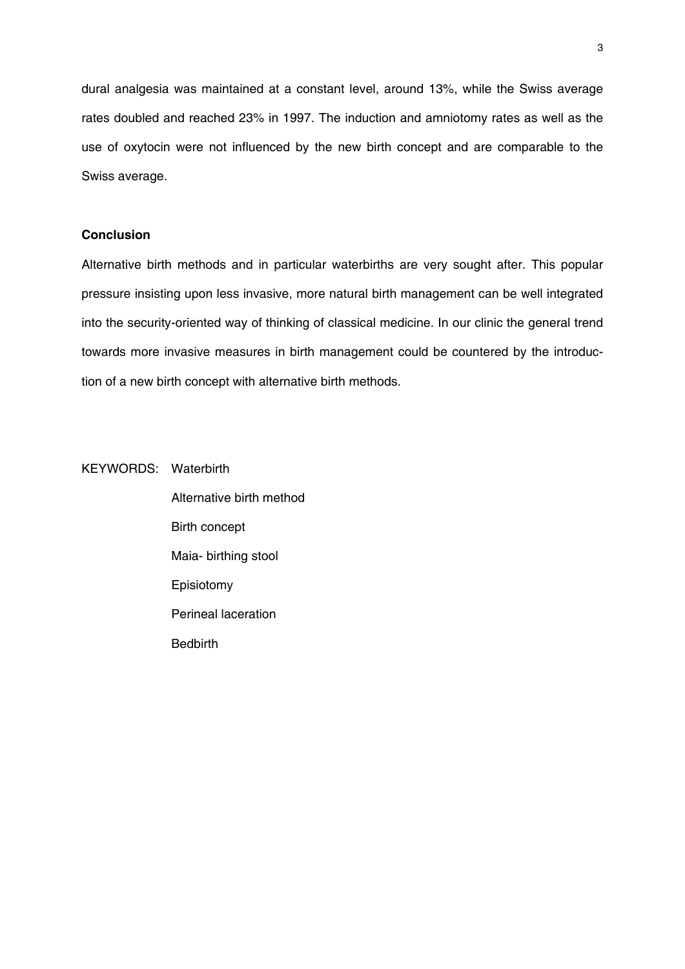dural analgesia was maintained at a constant level, around 13%, while the Swiss average rates doubled and reached 23% in 1997. The induction and amniotomy rates as well as the use of oxytocin were not influenced by the new birth concept and are comparable to the Swiss average.

#### **Conclusion**

Alternative birth methods and in particular waterbirths are very sought after. This popular pressure insisting upon less invasive, more natural birth management can be well integrated into the security-oriented way of thinking of classical medicine. In our clinic the general trend towards more invasive measures in birth management could be countered by the introduction of a new birth concept with alternative birth methods.

KEYWORDS: Waterbirth

 Alternative birth method Birth concept Maia- birthing stool Episiotomy Perineal laceration Bedbirth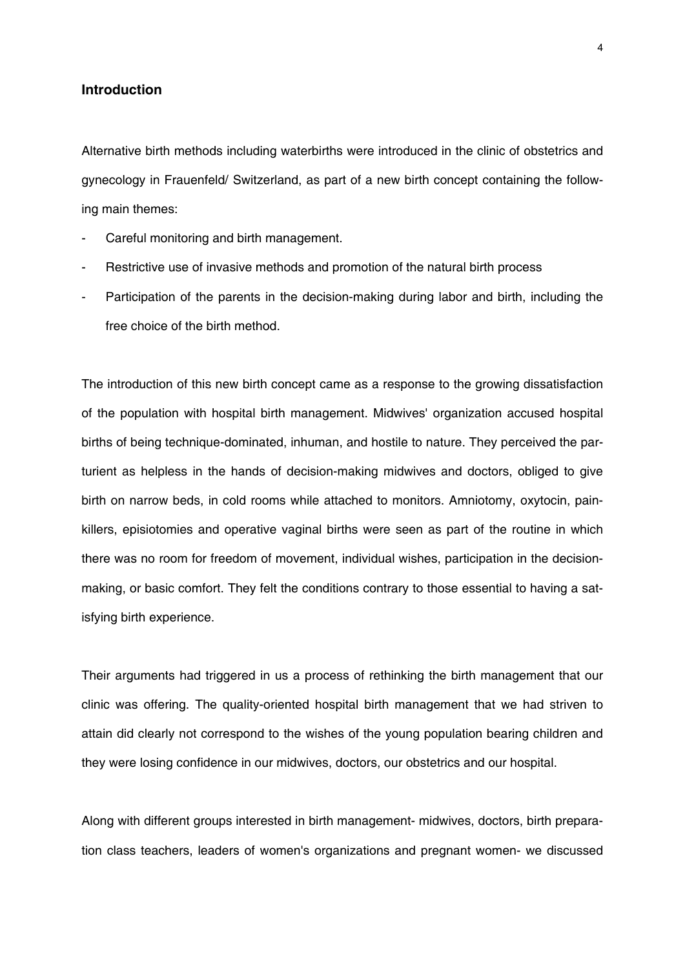#### **Introduction**

Alternative birth methods including waterbirths were introduced in the clinic of obstetrics and gynecology in Frauenfeld/ Switzerland, as part of a new birth concept containing the following main themes:

- Careful monitoring and birth management.
- Restrictive use of invasive methods and promotion of the natural birth process
- Participation of the parents in the decision-making during labor and birth, including the free choice of the birth method.

The introduction of this new birth concept came as a response to the growing dissatisfaction of the population with hospital birth management. Midwives' organization accused hospital births of being technique-dominated, inhuman, and hostile to nature. They perceived the parturient as helpless in the hands of decision-making midwives and doctors, obliged to give birth on narrow beds, in cold rooms while attached to monitors. Amniotomy, oxytocin, painkillers, episiotomies and operative vaginal births were seen as part of the routine in which there was no room for freedom of movement, individual wishes, participation in the decisionmaking, or basic comfort. They felt the conditions contrary to those essential to having a satisfying birth experience.

Their arguments had triggered in us a process of rethinking the birth management that our clinic was offering. The quality-oriented hospital birth management that we had striven to attain did clearly not correspond to the wishes of the young population bearing children and they were losing confidence in our midwives, doctors, our obstetrics and our hospital.

Along with different groups interested in birth management- midwives, doctors, birth preparation class teachers, leaders of women's organizations and pregnant women- we discussed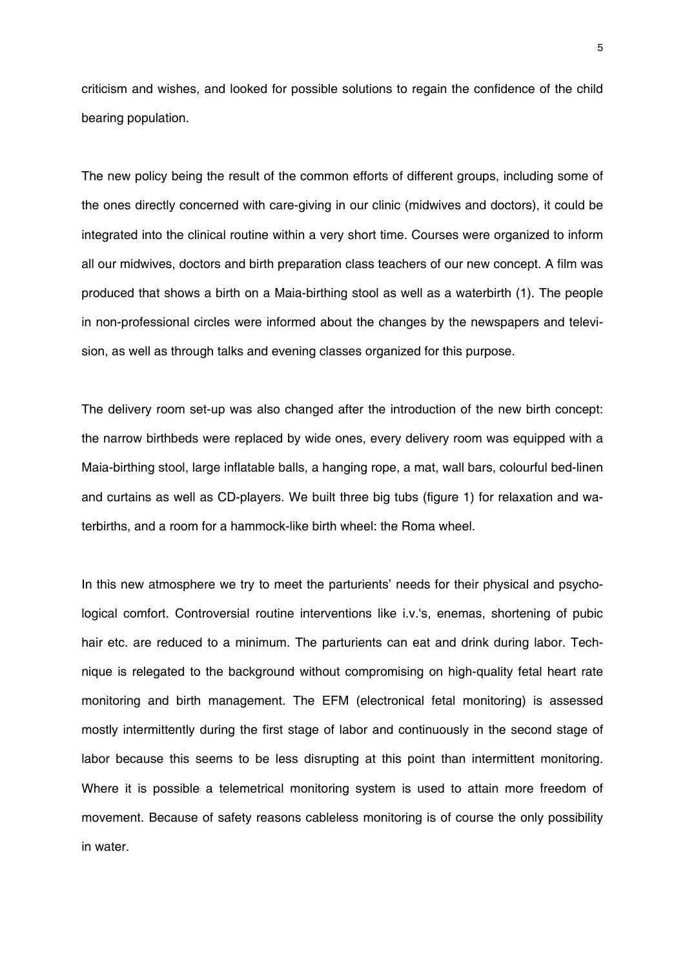criticism and wishes, and looked for possible solutions to regain the confidence of the child bearing population.

The new policy being the result of the common efforts of different groups, including some of the ones directly concerned with care-giving in our clinic (midwives and doctors), it could be integrated into the clinical routine within a very short time. Courses were organized to inform all our midwives, doctors and birth preparation class teachers of our new concept. A film was produced that shows a birth on a Maia-birthing stool as well as a waterbirth (1). The people in non-professional circles were informed about the changes by the newspapers and television, as well as through talks and evening classes organized for this purpose.

The delivery room set-up was also changed after the introduction of the new birth concept: the narrow birthbeds were replaced by wide ones, every delivery room was equipped with a Maia-birthing stool, large inflatable balls, a hanging rope, a mat, wall bars, colourful bed-linen and curtains as well as CD-players. We built three big tubs (figure 1) for relaxation and waterbirths, and a room for a hammock-like birth wheel: the Roma wheel.

In this new atmosphere we try to meet the parturients' needs for their physical and psychological comfort. Controversial routine interventions like i.v.'s, enemas, shortening of pubic hair etc. are reduced to a minimum. The parturients can eat and drink during labor. Technique is relegated to the background without compromising on high-quality fetal heart rate monitoring and birth management. The EFM (electronical fetal monitoring) is assessed mostly intermittently during the first stage of labor and continuously in the second stage of labor because this seems to be less disrupting at this point than intermittent monitoring. Where it is possible a telemetrical monitoring system is used to attain more freedom of movement. Because of safety reasons cableless monitoring is of course the only possibility in water.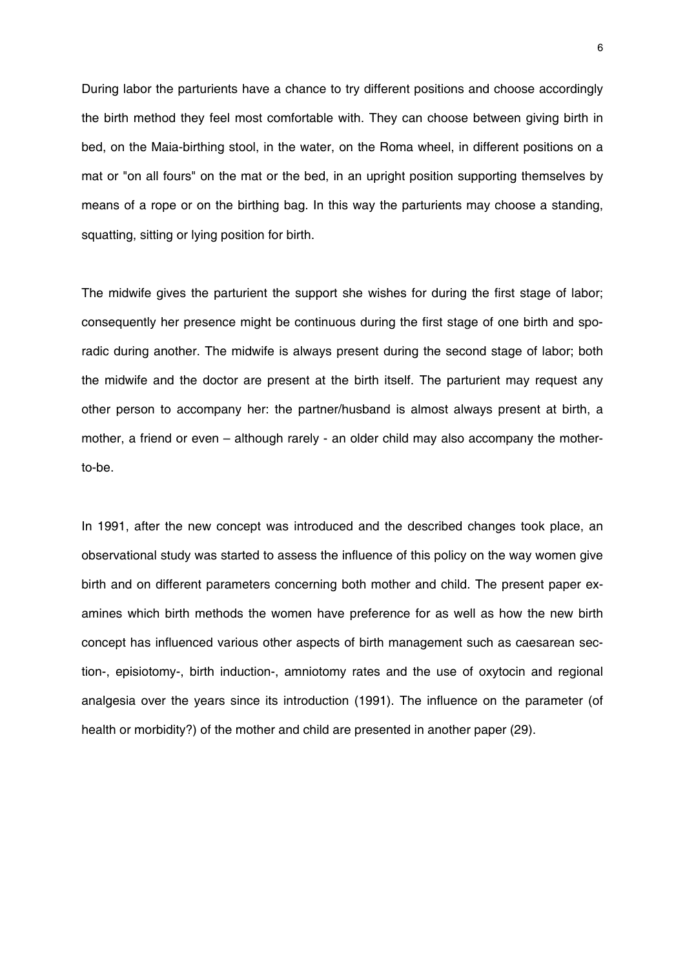During labor the parturients have a chance to try different positions and choose accordingly the birth method they feel most comfortable with. They can choose between giving birth in bed, on the Maia-birthing stool, in the water, on the Roma wheel, in different positions on a mat or "on all fours" on the mat or the bed, in an upright position supporting themselves by means of a rope or on the birthing bag. In this way the parturients may choose a standing, squatting, sitting or lying position for birth.

The midwife gives the parturient the support she wishes for during the first stage of labor; consequently her presence might be continuous during the first stage of one birth and sporadic during another. The midwife is always present during the second stage of labor; both the midwife and the doctor are present at the birth itself. The parturient may request any other person to accompany her: the partner/husband is almost always present at birth, a mother, a friend or even – although rarely - an older child may also accompany the motherto-be.

In 1991, after the new concept was introduced and the described changes took place, an observational study was started to assess the influence of this policy on the way women give birth and on different parameters concerning both mother and child. The present paper examines which birth methods the women have preference for as well as how the new birth concept has influenced various other aspects of birth management such as caesarean section-, episiotomy-, birth induction-, amniotomy rates and the use of oxytocin and regional analgesia over the years since its introduction (1991). The influence on the parameter (of health or morbidity?) of the mother and child are presented in another paper (29).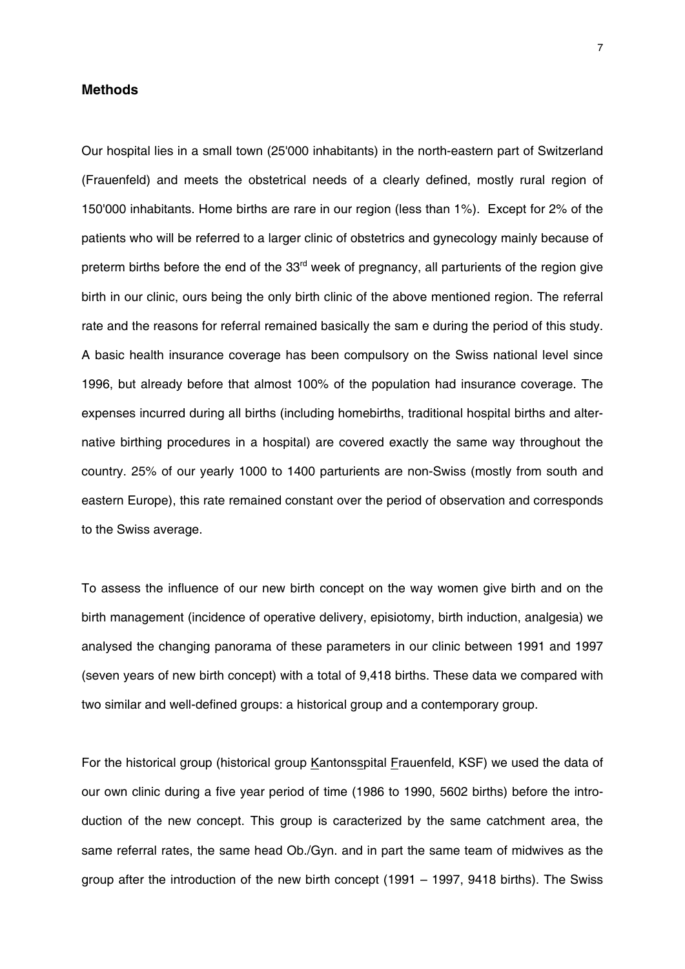#### **Methods**

Our hospital lies in a small town (25'000 inhabitants) in the north-eastern part of Switzerland (Frauenfeld) and meets the obstetrical needs of a clearly defined, mostly rural region of 150'000 inhabitants. Home births are rare in our region (less than 1%). Except for 2% of the patients who will be referred to a larger clinic of obstetrics and gynecology mainly because of preterm births before the end of the 33<sup>rd</sup> week of pregnancy, all parturients of the region give birth in our clinic, ours being the only birth clinic of the above mentioned region. The referral rate and the reasons for referral remained basically the sam e during the period of this study. A basic health insurance coverage has been compulsory on the Swiss national level since 1996, but already before that almost 100% of the population had insurance coverage. The expenses incurred during all births (including homebirths, traditional hospital births and alternative birthing procedures in a hospital) are covered exactly the same way throughout the country. 25% of our yearly 1000 to 1400 parturients are non-Swiss (mostly from south and eastern Europe), this rate remained constant over the period of observation and corresponds to the Swiss average.

To assess the influence of our new birth concept on the way women give birth and on the birth management (incidence of operative delivery, episiotomy, birth induction, analgesia) we analysed the changing panorama of these parameters in our clinic between 1991 and 1997 (seven years of new birth concept) with a total of 9,418 births. These data we compared with two similar and well-defined groups: a historical group and a contemporary group.

For the historical group (historical group Kantonsspital Frauenfeld, KSF) we used the data of our own clinic during a five year period of time (1986 to 1990, 5602 births) before the introduction of the new concept. This group is caracterized by the same catchment area, the same referral rates, the same head Ob./Gyn. and in part the same team of midwives as the group after the introduction of the new birth concept (1991 – 1997, 9418 births). The Swiss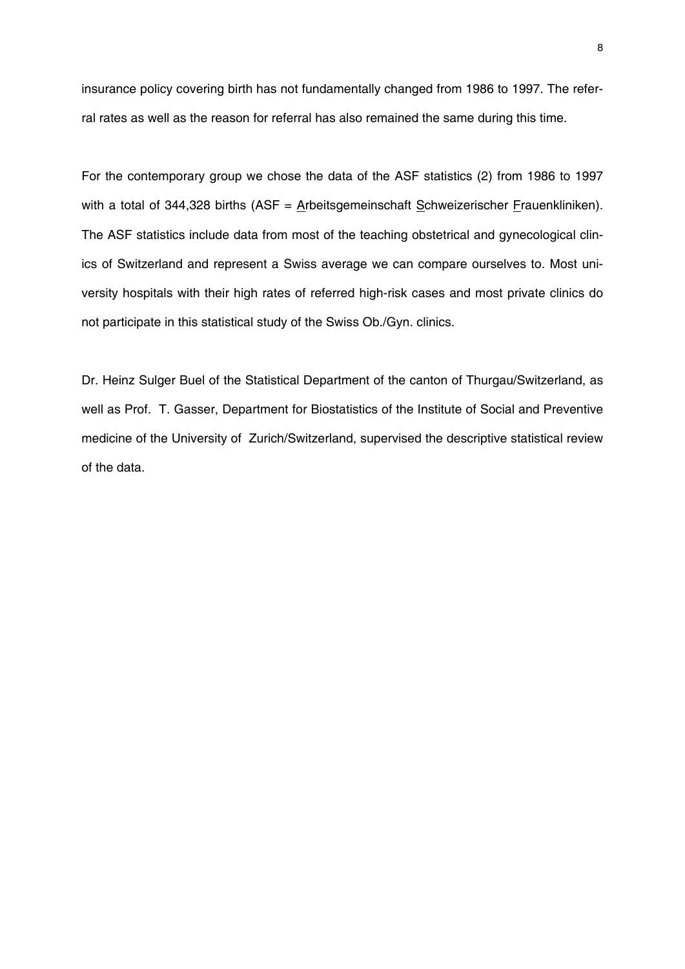insurance policy covering birth has not fundamentally changed from 1986 to 1997. The referral rates as well as the reason for referral has also remained the same during this time.

For the contemporary group we chose the data of the ASF statistics (2) from 1986 to 1997 with a total of 344,328 births (ASF =  $\Delta$ rbeitsgemeinschaft  $\Delta$ chweizerischer *Frauenkliniken*). The ASF statistics include data from most of the teaching obstetrical and gynecological clinics of Switzerland and represent a Swiss average we can compare ourselves to. Most university hospitals with their high rates of referred high-risk cases and most private clinics do not participate in this statistical study of the Swiss Ob./Gyn. clinics.

Dr. Heinz Sulger Buel of the Statistical Department of the canton of Thurgau/Switzerland, as well as Prof. T. Gasser, Department for Biostatistics of the Institute of Social and Preventive medicine of the University of Zurich/Switzerland, supervised the descriptive statistical review of the data.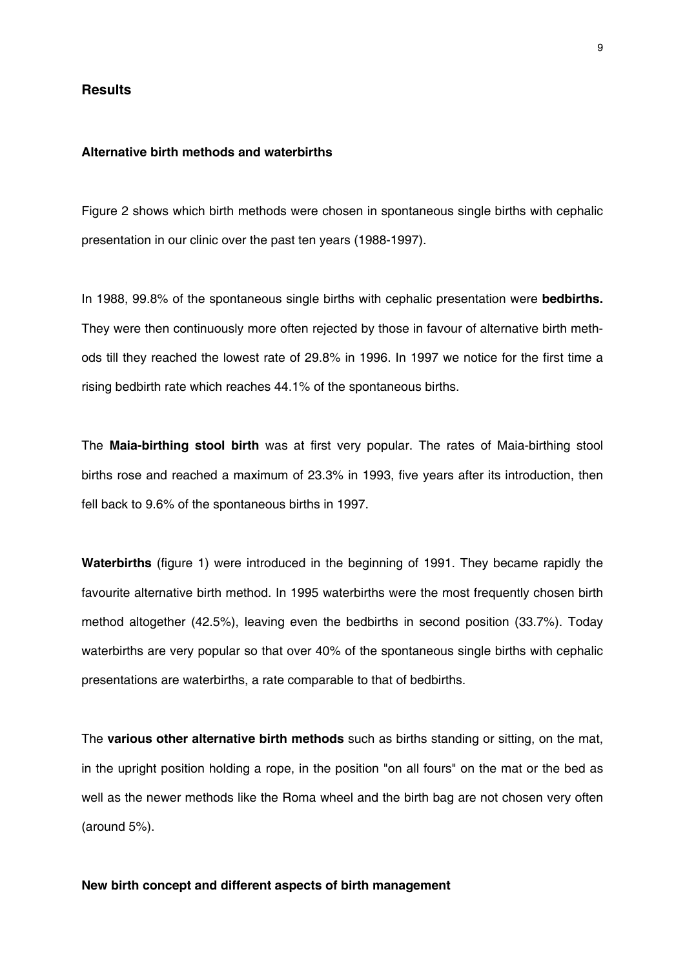#### **Results**

#### **Alternative birth methods and waterbirths**

Figure 2 shows which birth methods were chosen in spontaneous single births with cephalic presentation in our clinic over the past ten years (1988-1997).

In 1988, 99.8% of the spontaneous single births with cephalic presentation were **bedbirths.** They were then continuously more often rejected by those in favour of alternative birth methods till they reached the lowest rate of 29.8% in 1996. In 1997 we notice for the first time a rising bedbirth rate which reaches 44.1% of the spontaneous births.

The **Maia-birthing stool birth** was at first very popular. The rates of Maia-birthing stool births rose and reached a maximum of 23.3% in 1993, five years after its introduction, then fell back to 9.6% of the spontaneous births in 1997.

**Waterbirths** (figure 1) were introduced in the beginning of 1991. They became rapidly the favourite alternative birth method. In 1995 waterbirths were the most frequently chosen birth method altogether (42.5%), leaving even the bedbirths in second position (33.7%). Today waterbirths are very popular so that over 40% of the spontaneous single births with cephalic presentations are waterbirths, a rate comparable to that of bedbirths.

The **various other alternative birth methods** such as births standing or sitting, on the mat, in the upright position holding a rope, in the position "on all fours" on the mat or the bed as well as the newer methods like the Roma wheel and the birth bag are not chosen very often (around 5%).

### **New birth concept and different aspects of birth management**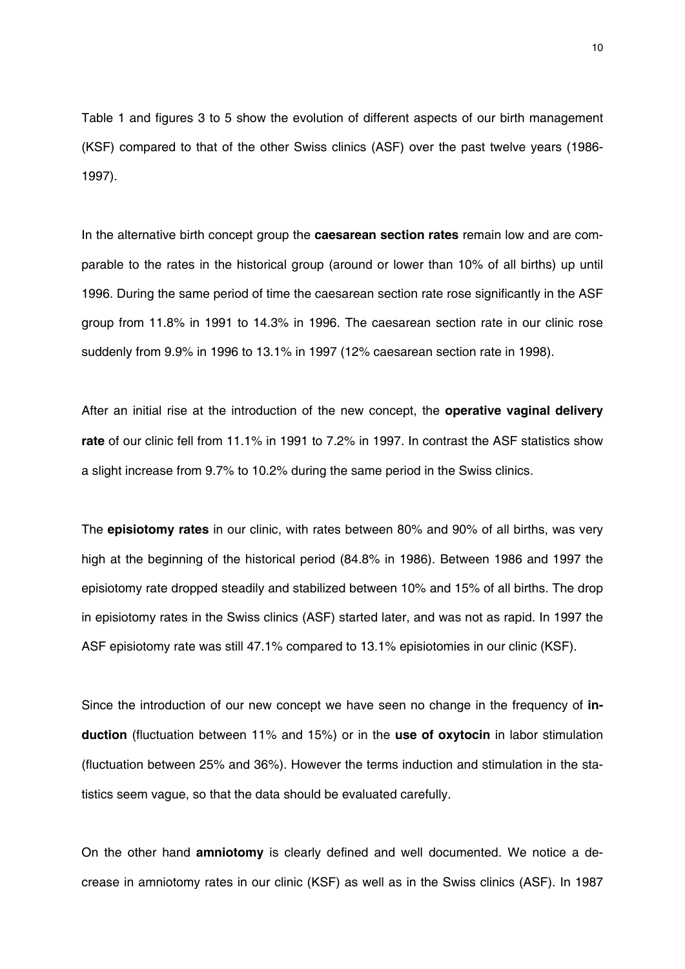Table 1 and figures 3 to 5 show the evolution of different aspects of our birth management (KSF) compared to that of the other Swiss clinics (ASF) over the past twelve years (1986- 1997).

In the alternative birth concept group the **caesarean section rates** remain low and are comparable to the rates in the historical group (around or lower than 10% of all births) up until 1996. During the same period of time the caesarean section rate rose significantly in the ASF group from 11.8% in 1991 to 14.3% in 1996. The caesarean section rate in our clinic rose suddenly from 9.9% in 1996 to 13.1% in 1997 (12% caesarean section rate in 1998).

After an initial rise at the introduction of the new concept, the **operative vaginal delivery rate** of our clinic fell from 11.1% in 1991 to 7.2% in 1997. In contrast the ASF statistics show a slight increase from 9.7% to 10.2% during the same period in the Swiss clinics.

The **episiotomy rates** in our clinic, with rates between 80% and 90% of all births, was very high at the beginning of the historical period (84.8% in 1986). Between 1986 and 1997 the episiotomy rate dropped steadily and stabilized between 10% and 15% of all births. The drop in episiotomy rates in the Swiss clinics (ASF) started later, and was not as rapid. In 1997 the ASF episiotomy rate was still 47.1% compared to 13.1% episiotomies in our clinic (KSF).

Since the introduction of our new concept we have seen no change in the frequency of **induction** (fluctuation between 11% and 15%) or in the **use of oxytocin** in labor stimulation (fluctuation between 25% and 36%). However the terms induction and stimulation in the statistics seem vague, so that the data should be evaluated carefully.

On the other hand **amniotomy** is clearly defined and well documented. We notice a decrease in amniotomy rates in our clinic (KSF) as well as in the Swiss clinics (ASF). In 1987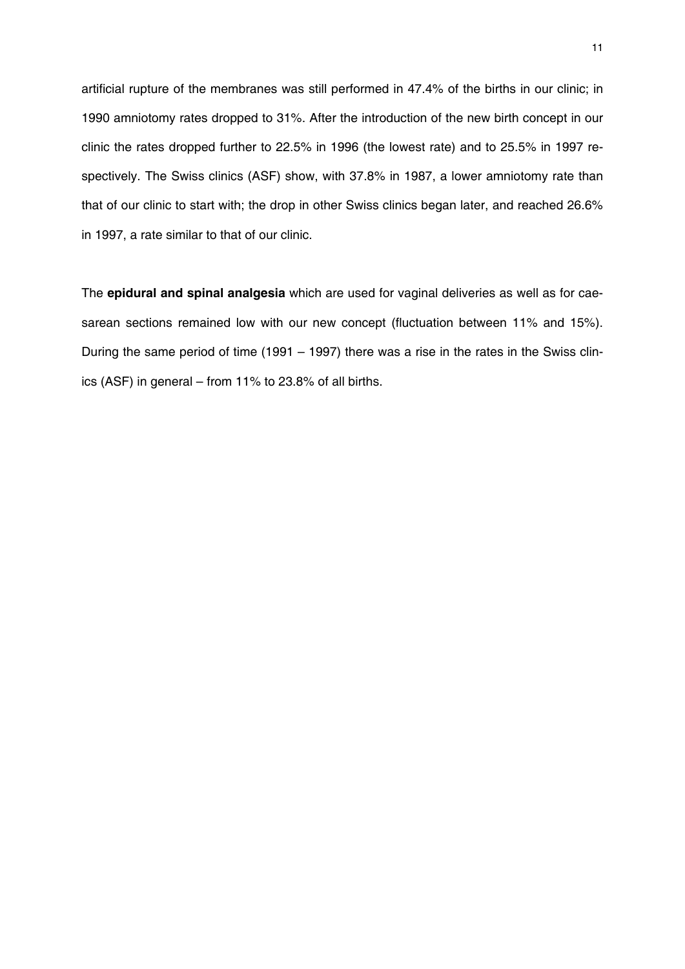artificial rupture of the membranes was still performed in 47.4% of the births in our clinic; in 1990 amniotomy rates dropped to 31%. After the introduction of the new birth concept in our clinic the rates dropped further to 22.5% in 1996 (the lowest rate) and to 25.5% in 1997 respectively. The Swiss clinics (ASF) show, with 37.8% in 1987, a lower amniotomy rate than that of our clinic to start with; the drop in other Swiss clinics began later, and reached 26.6% in 1997, a rate similar to that of our clinic.

The **epidural and spinal analgesia** which are used for vaginal deliveries as well as for caesarean sections remained low with our new concept (fluctuation between 11% and 15%). During the same period of time (1991 – 1997) there was a rise in the rates in the Swiss clinics (ASF) in general – from 11% to 23.8% of all births.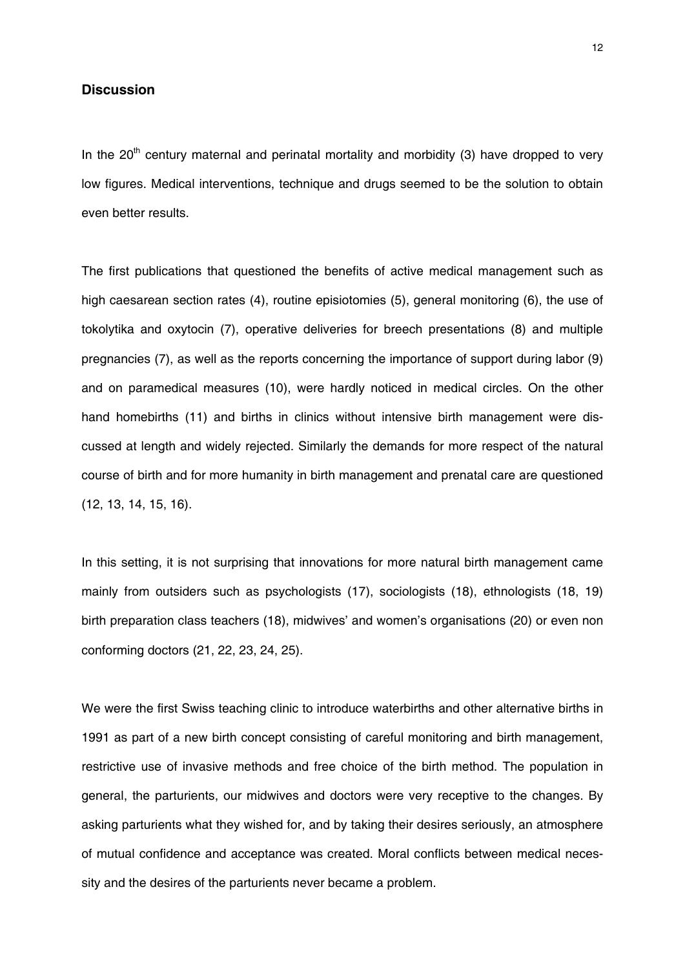#### **Discussion**

In the  $20<sup>th</sup>$  century maternal and perinatal mortality and morbidity (3) have dropped to very low figures. Medical interventions, technique and drugs seemed to be the solution to obtain even better results.

The first publications that questioned the benefits of active medical management such as high caesarean section rates (4), routine episiotomies (5), general monitoring (6), the use of tokolytika and oxytocin (7), operative deliveries for breech presentations (8) and multiple pregnancies (7), as well as the reports concerning the importance of support during labor (9) and on paramedical measures (10), were hardly noticed in medical circles. On the other hand homebirths (11) and births in clinics without intensive birth management were discussed at length and widely rejected. Similarly the demands for more respect of the natural course of birth and for more humanity in birth management and prenatal care are questioned (12, 13, 14, 15, 16).

In this setting, it is not surprising that innovations for more natural birth management came mainly from outsiders such as psychologists (17), sociologists (18), ethnologists (18, 19) birth preparation class teachers (18), midwives' and women's organisations (20) or even non conforming doctors (21, 22, 23, 24, 25).

We were the first Swiss teaching clinic to introduce waterbirths and other alternative births in 1991 as part of a new birth concept consisting of careful monitoring and birth management, restrictive use of invasive methods and free choice of the birth method. The population in general, the parturients, our midwives and doctors were very receptive to the changes. By asking parturients what they wished for, and by taking their desires seriously, an atmosphere of mutual confidence and acceptance was created. Moral conflicts between medical necessity and the desires of the parturients never became a problem.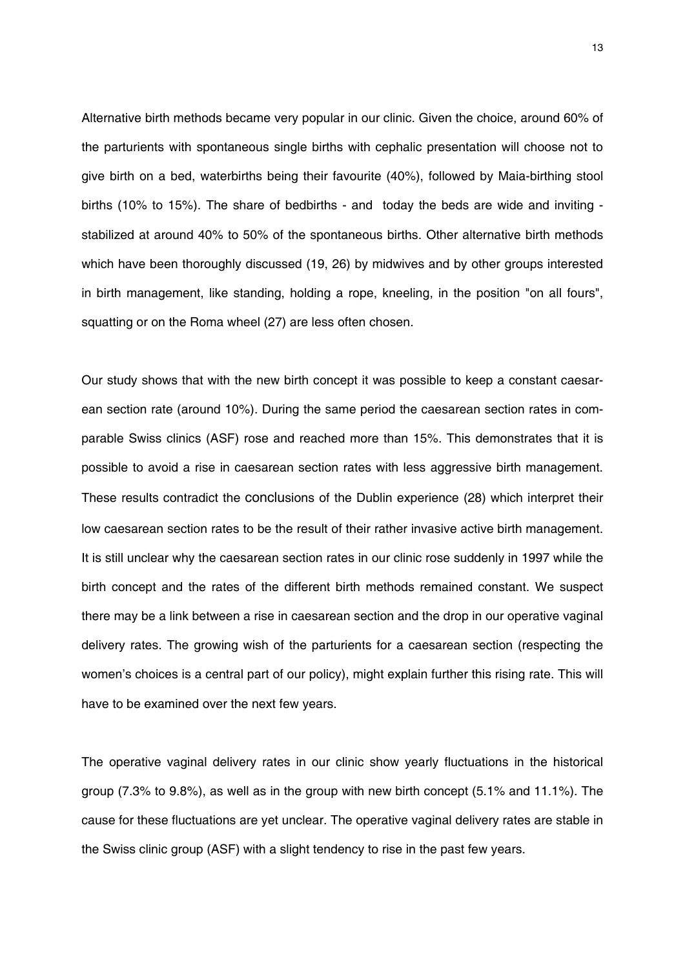Alternative birth methods became very popular in our clinic. Given the choice, around 60% of the parturients with spontaneous single births with cephalic presentation will choose not to give birth on a bed, waterbirths being their favourite (40%), followed by Maia-birthing stool births (10% to 15%). The share of bedbirths - and today the beds are wide and inviting stabilized at around 40% to 50% of the spontaneous births. Other alternative birth methods which have been thoroughly discussed (19, 26) by midwives and by other groups interested in birth management, like standing, holding a rope, kneeling, in the position "on all fours", squatting or on the Roma wheel (27) are less often chosen.

Our study shows that with the new birth concept it was possible to keep a constant caesarean section rate (around 10%). During the same period the caesarean section rates in comparable Swiss clinics (ASF) rose and reached more than 15%. This demonstrates that it is possible to avoid a rise in caesarean section rates with less aggressive birth management. These results contradict the conclusions of the Dublin experience (28) which interpret their low caesarean section rates to be the result of their rather invasive active birth management. It is still unclear why the caesarean section rates in our clinic rose suddenly in 1997 while the birth concept and the rates of the different birth methods remained constant. We suspect there may be a link between a rise in caesarean section and the drop in our operative vaginal delivery rates. The growing wish of the parturients for a caesarean section (respecting the women's choices is a central part of our policy), might explain further this rising rate. This will have to be examined over the next few years.

The operative vaginal delivery rates in our clinic show yearly fluctuations in the historical group (7.3% to 9.8%), as well as in the group with new birth concept (5.1% and 11.1%). The cause for these fluctuations are yet unclear. The operative vaginal delivery rates are stable in the Swiss clinic group (ASF) with a slight tendency to rise in the past few years.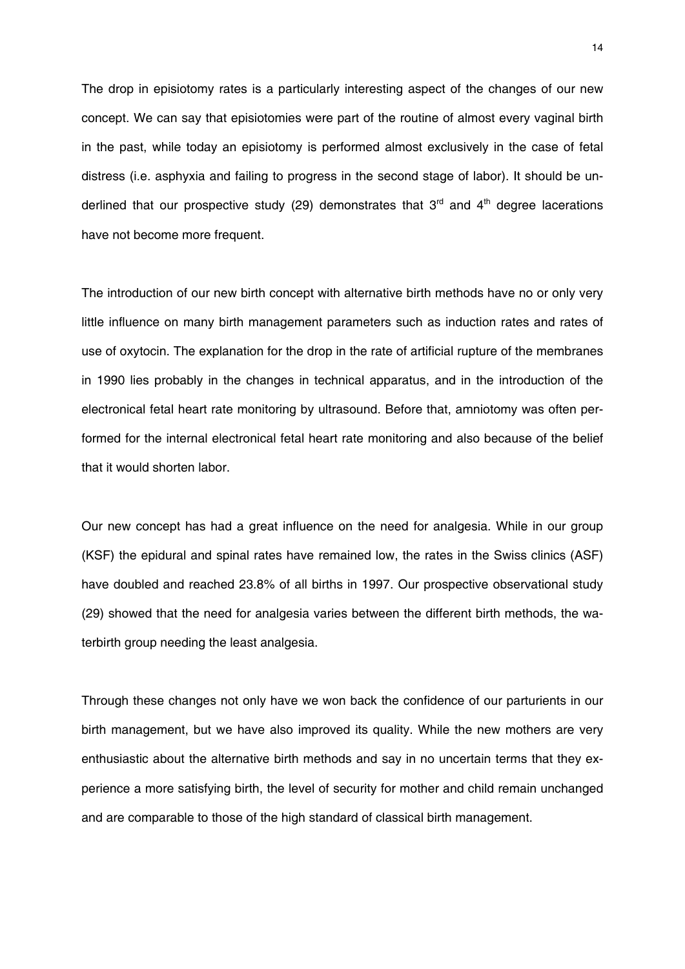The drop in episiotomy rates is a particularly interesting aspect of the changes of our new concept. We can say that episiotomies were part of the routine of almost every vaginal birth in the past, while today an episiotomy is performed almost exclusively in the case of fetal distress (i.e. asphyxia and failing to progress in the second stage of labor). It should be underlined that our prospective study (29) demonstrates that  $3<sup>rd</sup>$  and  $4<sup>th</sup>$  degree lacerations have not become more frequent.

The introduction of our new birth concept with alternative birth methods have no or only very little influence on many birth management parameters such as induction rates and rates of use of oxytocin. The explanation for the drop in the rate of artificial rupture of the membranes in 1990 lies probably in the changes in technical apparatus, and in the introduction of the electronical fetal heart rate monitoring by ultrasound. Before that, amniotomy was often performed for the internal electronical fetal heart rate monitoring and also because of the belief that it would shorten labor.

Our new concept has had a great influence on the need for analgesia. While in our group (KSF) the epidural and spinal rates have remained low, the rates in the Swiss clinics (ASF) have doubled and reached 23.8% of all births in 1997. Our prospective observational study (29) showed that the need for analgesia varies between the different birth methods, the waterbirth group needing the least analgesia.

Through these changes not only have we won back the confidence of our parturients in our birth management, but we have also improved its quality. While the new mothers are very enthusiastic about the alternative birth methods and say in no uncertain terms that they experience a more satisfying birth, the level of security for mother and child remain unchanged and are comparable to those of the high standard of classical birth management.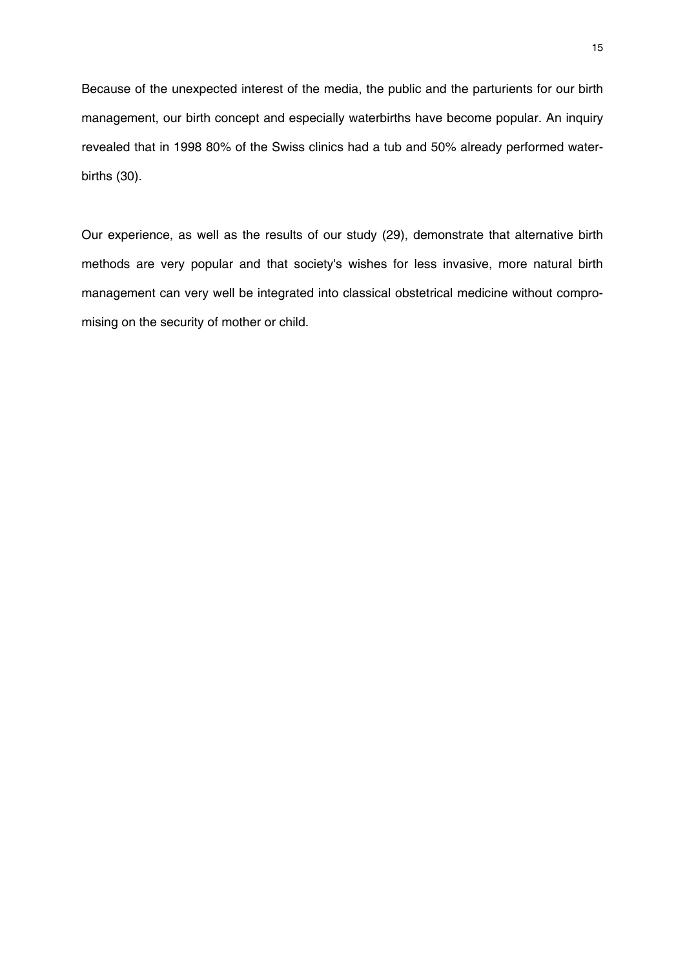Because of the unexpected interest of the media, the public and the parturients for our birth management, our birth concept and especially waterbirths have become popular. An inquiry revealed that in 1998 80% of the Swiss clinics had a tub and 50% already performed waterbirths (30).

Our experience, as well as the results of our study (29), demonstrate that alternative birth methods are very popular and that society's wishes for less invasive, more natural birth management can very well be integrated into classical obstetrical medicine without compromising on the security of mother or child.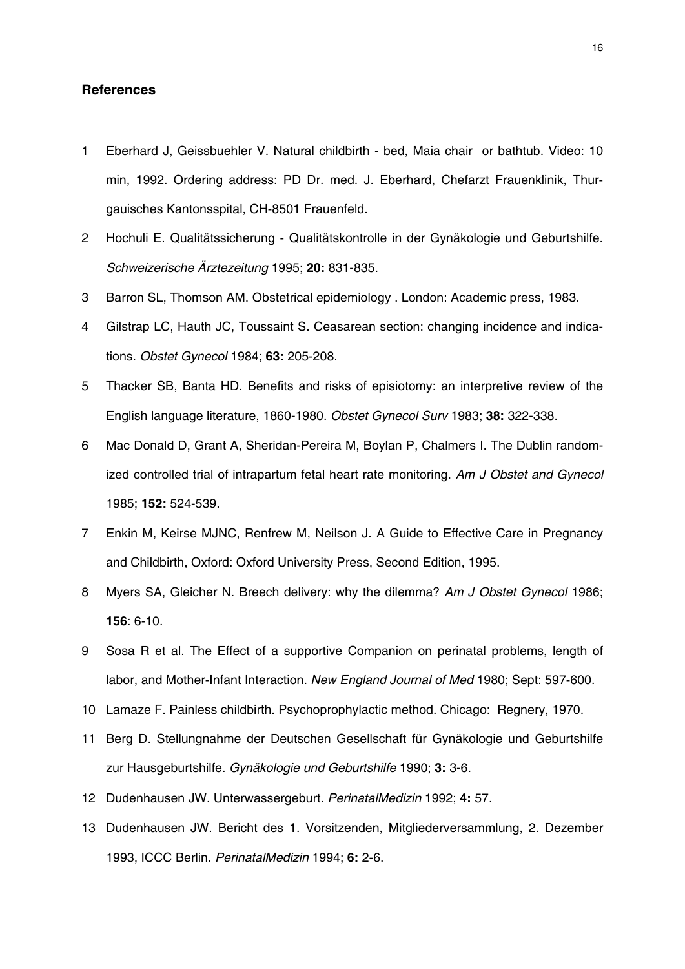#### **References**

- 1 Eberhard J, Geissbuehler V. Natural childbirth bed, Maia chair or bathtub. Video: 10 min, 1992. Ordering address: PD Dr. med. J. Eberhard, Chefarzt Frauenklinik, Thurgauisches Kantonsspital, CH-8501 Frauenfeld.
- 2 Hochuli E. Qualitätssicherung Qualitätskontrolle in der Gynäkologie und Geburtshilfe. *Schweizerische Ärztezeitung* 1995; **20:** 831-835.
- 3 Barron SL, Thomson AM. Obstetrical epidemiology . London: Academic press, 1983.
- 4 Gilstrap LC, Hauth JC, Toussaint S. Ceasarean section: changing incidence and indications. *Obstet Gynecol* 1984; **63:** 205-208.
- 5 Thacker SB, Banta HD. Benefits and risks of episiotomy: an interpretive review of the English language literature, 1860-1980. *Obstet Gynecol Surv* 1983; **38:** 322-338.
- 6 Mac Donald D, Grant A, Sheridan-Pereira M, Boylan P, Chalmers I. The Dublin randomized controlled trial of intrapartum fetal heart rate monitoring. *Am J Obstet and Gynecol* 1985; **152:** 524-539.
- 7 Enkin M, Keirse MJNC, Renfrew M, Neilson J. A Guide to Effective Care in Pregnancy and Childbirth, Oxford: Oxford University Press, Second Edition, 1995.
- 8 Myers SA, Gleicher N. Breech delivery: why the dilemma? *Am J Obstet Gynecol* 1986; **156**: 6-10.
- 9 Sosa R et al. The Effect of a supportive Companion on perinatal problems, length of labor, and Mother-Infant Interaction. *New England Journal of Med* 1980; Sept: 597-600.
- 10 Lamaze F. Painless childbirth. Psychoprophylactic method. Chicago: Regnery, 1970.
- 11 Berg D. Stellungnahme der Deutschen Gesellschaft für Gynäkologie und Geburtshilfe zur Hausgeburtshilfe. *Gynäkologie und Geburtshilfe* 1990; **3:** 3-6.
- 12 Dudenhausen JW. Unterwassergeburt. *PerinatalMedizin* 1992; **4:** 57.
- 13 Dudenhausen JW. Bericht des 1. Vorsitzenden, Mitgliederversammlung, 2. Dezember 1993, ICCC Berlin. *PerinatalMedizin* 1994; **6:** 2-6.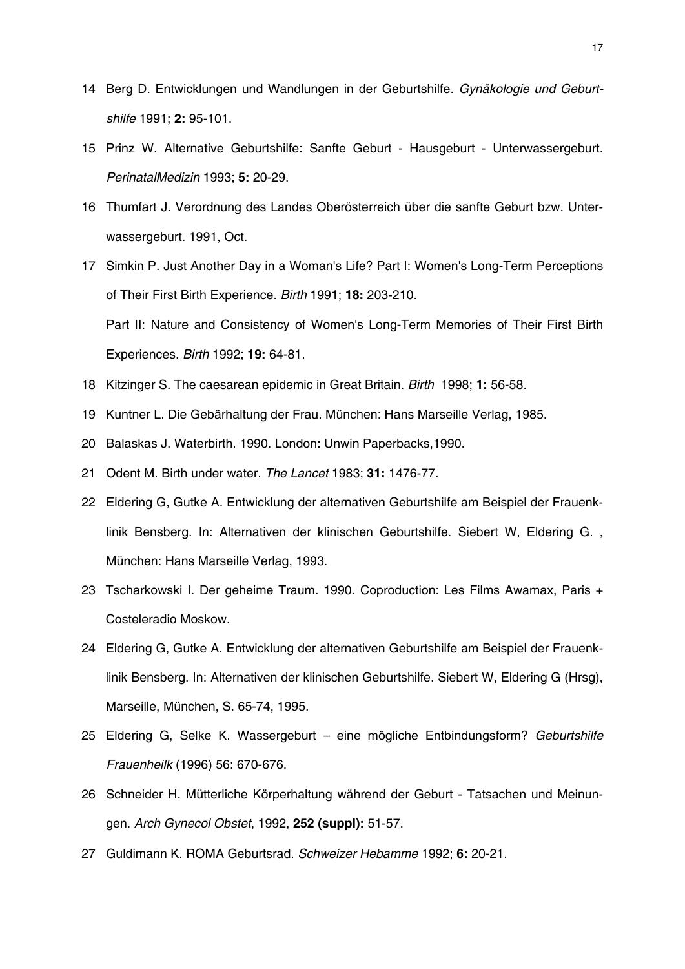- 14 Berg D. Entwicklungen und Wandlungen in der Geburtshilfe. *Gynäkologie und Geburtshilfe* 1991; **2:** 95-101.
- 15 Prinz W. Alternative Geburtshilfe: Sanfte Geburt Hausgeburt Unterwassergeburt. *PerinatalMedizin* 1993; **5:** 20-29.
- 16 Thumfart J. Verordnung des Landes Oberösterreich über die sanfte Geburt bzw. Unterwassergeburt. 1991, Oct.
- 17 Simkin P. Just Another Day in a Woman's Life? Part I: Women's Long-Term Perceptions of Their First Birth Experience. *Birth* 1991; **18:** 203-210. Part II: Nature and Consistency of Women's Long-Term Memories of Their First Birth Experiences. *Birth* 1992; **19:** 64-81.
- 18 Kitzinger S. The caesarean epidemic in Great Britain. *Birth* 1998; **1:** 56-58.
- 19 Kuntner L. Die Gebärhaltung der Frau. München: Hans Marseille Verlag, 1985.
- 20 Balaskas J. Waterbirth. 1990. London: Unwin Paperbacks,1990.
- 21 Odent M. Birth under water. *The Lancet* 1983; **31:** 1476-77.
- 22 Eldering G, Gutke A. Entwicklung der alternativen Geburtshilfe am Beispiel der Frauenklinik Bensberg. In: Alternativen der klinischen Geburtshilfe. Siebert W, Eldering G. , München: Hans Marseille Verlag, 1993.
- 23 Tscharkowski I. Der geheime Traum. 1990. Coproduction: Les Films Awamax, Paris + Costeleradio Moskow.
- 24 Eldering G, Gutke A. Entwicklung der alternativen Geburtshilfe am Beispiel der Frauenklinik Bensberg. In: Alternativen der klinischen Geburtshilfe. Siebert W, Eldering G (Hrsg), Marseille, München, S. 65-74, 1995.
- 25 Eldering G, Selke K. Wassergeburt eine mögliche Entbindungsform? *Geburtshilfe Frauenheilk* (1996) 56: 670-676.
- 26 Schneider H. Mütterliche Körperhaltung während der Geburt Tatsachen und Meinungen. *Arch Gynecol Obstet*, 1992, **252 (suppl):** 51-57.
- 27 Guldimann K. ROMA Geburtsrad. *Schweizer Hebamme* 1992; **6:** 20-21.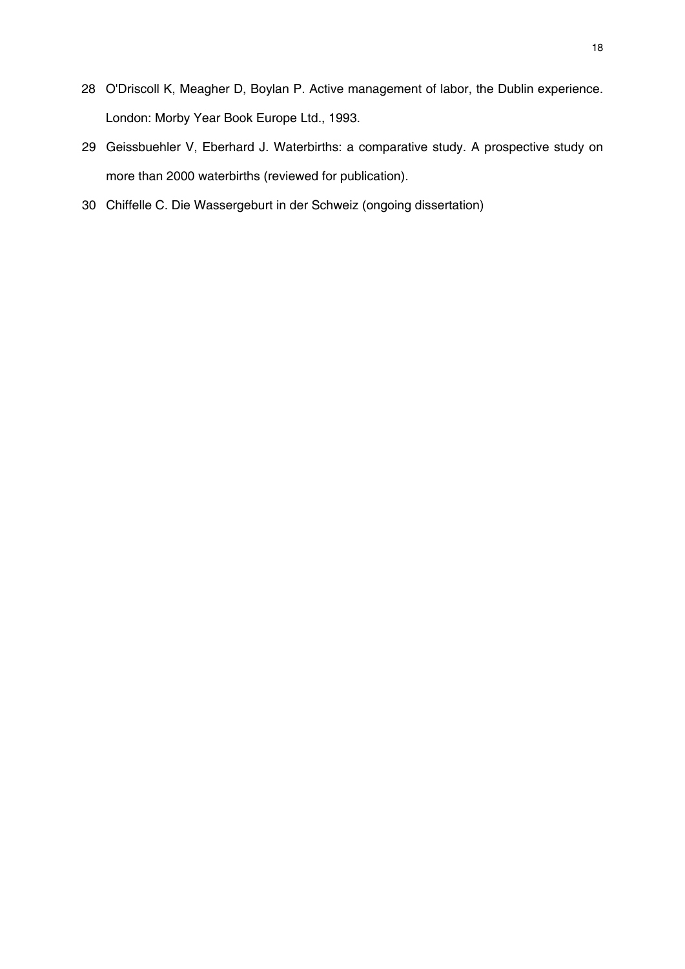- O'Driscoll K, Meagher D, Boylan P. Active management of labor, the Dublin experience. London: Morby Year Book Europe Ltd., 1993.
- Geissbuehler V, Eberhard J. Waterbirths: a comparative study. A prospective study on more than 2000 waterbirths (reviewed for publication).
- Chiffelle C. Die Wassergeburt in der Schweiz (ongoing dissertation)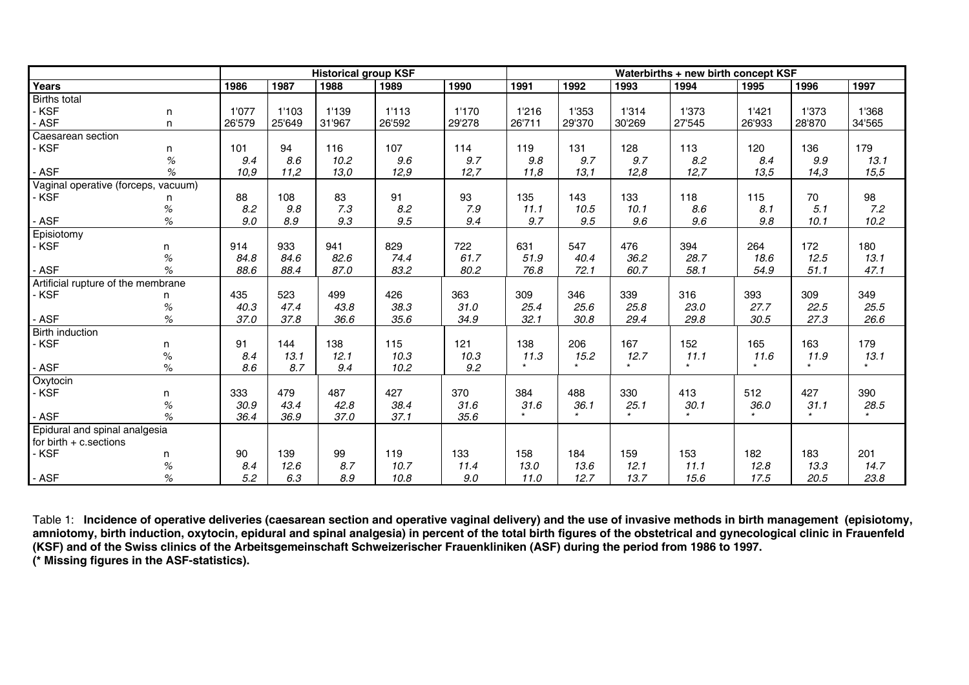|                                     |                                     | <b>Historical group KSF</b> |        |        |        | Waterbirths + new birth concept KSF |         |        |         |         |        |                      |         |
|-------------------------------------|-------------------------------------|-----------------------------|--------|--------|--------|-------------------------------------|---------|--------|---------|---------|--------|----------------------|---------|
| Years                               |                                     | 1986                        | 1987   | 1988   | 1989   | 1990                                | 1991    | 1992   | 1993    | 1994    | 1995   | 1996                 | 1997    |
| <b>Births total</b>                 |                                     |                             |        |        |        |                                     |         |        |         |         |        |                      |         |
| · KSF                               | n                                   | 1'077                       | 1'103  | 1'139  | 1'113  | 1'170                               | 1'216   | 1'353  | 1'314   | 1'373   | 1'421  | 1'373                | 1'368   |
| <b>ASF</b>                          | n.                                  | 26'579                      | 25'649 | 31'967 | 26'592 | 29'278                              | 26'711  | 29'370 | 30'269  | 27'545  | 26'933 | 28'870               | 34'565  |
| Caesarean section                   |                                     |                             |        |        |        |                                     |         |        |         |         |        |                      |         |
| - KSF                               | n                                   | 101                         | 94     | 116    | 107    | 114                                 | 119     | 131    | 128     | 113     | 120    | 136                  | 179     |
|                                     | $\%$                                | 9.4                         | 8.6    | 10.2   | 9.6    | 9.7                                 | 9.8     | 9.7    | 9.7     | 8.2     | 8.4    | 9.9                  | 13.1    |
| <b>ASF</b>                          | $\%$                                | 10,9                        | 11,2   | 13,0   | 12,9   | 12,7                                | 11,8    | 13,1   | 12,8    | 12,7    | 13,5   | 14,3                 | 15,5    |
| Vaginal operative (forceps, vacuum) |                                     |                             |        |        |        |                                     |         |        |         |         |        |                      |         |
| - KSF                               | n                                   | 88                          | 108    | 83     | 91     | 93                                  | 135     | 143    | 133     | 118     | 115    | 70                   | 98      |
|                                     | $\%$                                | 8.2                         | 9.8    | 7.3    | 8.2    | 7.9                                 | 11.1    | 10.5   | 10.1    | 8.6     | 8.1    | 5.1                  | 7.2     |
| - ASF                               | $\%$                                | 9.0                         | 8.9    | 9.3    | 9.5    | 9.4                                 | 9.7     | 9.5    | 9.6     | 9.6     | 9.8    | 10.1                 | 10.2    |
| Episiotomy                          |                                     |                             |        |        |        |                                     |         |        |         |         |        |                      |         |
| - KSF                               | n                                   | 914                         | 933    | 941    | 829    | 722                                 | 631     | 547    | 476     | 394     | 264    | 172                  | 180     |
|                                     | $\%$                                | 84.8                        | 84.6   | 82.6   | 74.4   | 61.7                                | 51.9    | 40.4   | 36.2    | 28.7    | 18.6   | 12.5                 | 13.1    |
| <b>ASF</b>                          | $\%$                                | 88.6                        | 88.4   | 87.0   | 83.2   | 80.2                                | 76.8    | 72.1   | 60.7    | 58.1    | 54.9   | 51.1                 | 47.1    |
| Artificial rupture of the membrane  |                                     |                             |        |        |        |                                     |         |        |         |         |        |                      |         |
| - KSF                               | n                                   | 435                         | 523    | 499    | 426    | 363                                 | 309     | 346    | 339     | 316     | 393    | 309                  | 349     |
|                                     | $\%$                                | 40.3                        | 47.4   | 43.8   | 38.3   | 31.0                                | 25.4    | 25.6   | 25.8    | 23.0    | 27.7   | 22.5                 | 25.5    |
| <b>ASF</b>                          | $% \mathcal{A}=\mathcal{A}^{\ast }$ | 37.0                        | 37.8   | 36.6   | 35.6   | 34.9                                | 32.1    | 30.8   | 29.4    | 29.8    | 30.5   | 27.3                 | 26.6    |
| Birth induction                     |                                     |                             |        |        |        |                                     |         |        |         |         |        |                      |         |
| - KSF                               | n                                   | 91                          | 144    | 138    | 115    | 121                                 | 138     | 206    | 167     | 152     | 165    | 163                  | 179     |
|                                     | $\%$                                | 8.4                         | 13.1   | 12.1   | 10.3   | 10.3                                | 11.3    | 15.2   | 12.7    | 11.1    | 11.6   | 11.9                 | 13.1    |
| <b>ASF</b>                          | $\%$                                | 8.6                         | 8.7    | 9.4    | 10.2   | 9.2                                 | $\star$ |        | $\star$ | $\star$ |        | $\ddot{\phantom{1}}$ | $\star$ |
| Oxytocin                            |                                     |                             |        |        |        |                                     |         |        |         |         |        |                      |         |
| - KSF                               | n                                   | 333                         | 479    | 487    | 427    | 370                                 | 384     | 488    | 330     | 413     | 512    | 427                  | 390     |
|                                     | $\%$                                | 30.9                        | 43.4   | 42.8   | 38.4   | 31.6                                | 31.6    | 36.1   | 25.1    | 30.1    | 36.0   | 31.1                 | 28.5    |
| <b>ASF</b>                          | %                                   | 36.4                        | 36.9   | 37.0   | 37.1   | 35.6                                | $\star$ |        | $\star$ | $\star$ |        | $\star$              | $\star$ |
| Epidural and spinal analgesia       |                                     |                             |        |        |        |                                     |         |        |         |         |        |                      |         |
| for birth $+$ c. sections           |                                     |                             |        |        |        |                                     |         |        |         |         |        |                      |         |
| - KSF                               | n                                   | 90                          | 139    | 99     | 119    | 133                                 | 158     | 184    | 159     | 153     | 182    | 183                  | 201     |
|                                     | $\%$                                | 8.4                         | 12.6   | 8.7    | 10.7   | 11.4                                | 13.0    | 13.6   | 12.1    | 11.1    | 12.8   | 13.3                 | 14.7    |
| $-$ ASF                             | $\%$                                | 5.2                         | 6.3    | 8.9    | 10.8   | 9.0                                 | 11.0    | 12.7   | 13.7    | 15.6    | 17.5   | 20.5                 | 23.8    |

Table 1: **Incidence of operative deliveries (caesarean section and operative vaginal delivery) and the use of invasive methods in birth management (episiotomy,**  amniotomy, birth induction, oxytocin, epidural and spinal analgesia) in percent of the total birth figures of the obstetrical and gynecological clinic in Frauenfeld **(KSF) and of the Swiss clinics of the Arbeitsgemeinschaft Schweizerischer Frauenkliniken (ASF) during the period from 1986 to 1997. (\* Missing figures in the ASF-statistics).**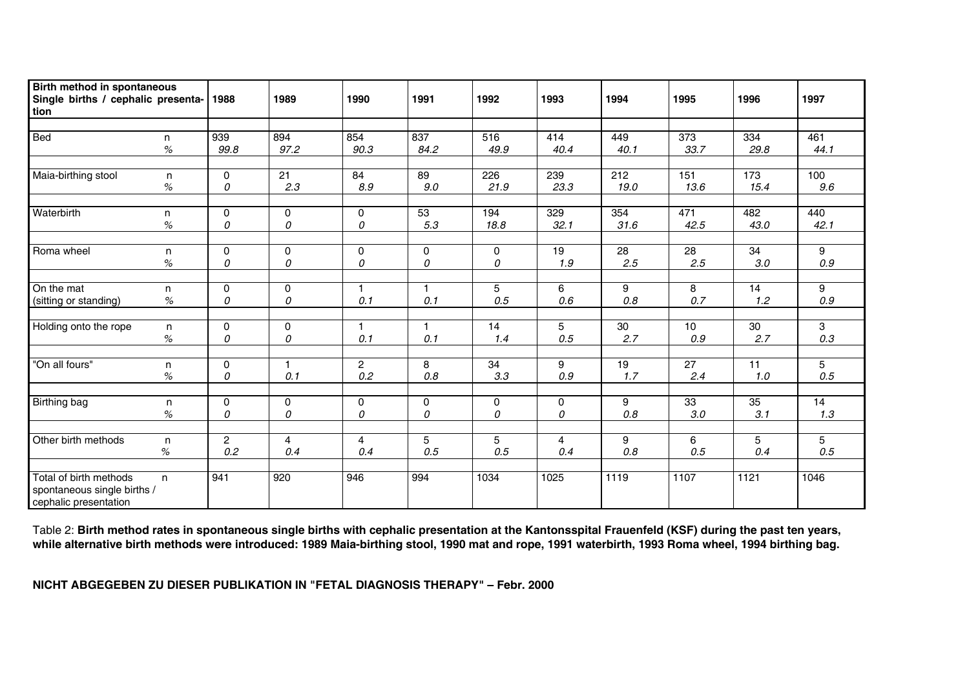| Birth method in spontaneous<br>Single births / cephalic presenta-<br>tion           |           | 1988                  | 1989                  | 1990                    | 1991             | 1992             | 1993        | 1994         | 1995        | 1996             | 1997         |
|-------------------------------------------------------------------------------------|-----------|-----------------------|-----------------------|-------------------------|------------------|------------------|-------------|--------------|-------------|------------------|--------------|
|                                                                                     |           |                       |                       |                         |                  |                  |             |              |             |                  |              |
| Bed                                                                                 | n<br>$\%$ | 939<br>99.8           | 894<br>97.2           | 854<br>90.3             | 837<br>84.2      | 516<br>49.9      | 414<br>40.4 | 449<br>40.1  | 373<br>33.7 | 334<br>29.8      | 461<br>44.1  |
| Maia-birthing stool                                                                 | n         | $\mathbf{0}$          | $\overline{21}$       | 84                      | $\overline{89}$  | $\overline{226}$ | 239         | 212          | 151         | $\overline{173}$ | 100          |
|                                                                                     | $\%$      | 0                     | 2.3                   | 8.9                     | $9.0\,$          | 21.9             | 23.3        | 19.0         | 13.6        | 15.4             | 9.6          |
| Waterbirth                                                                          | n<br>$\%$ | $\mathbf 0$<br>0      | $\mathbf 0$<br>0      | $\mathbf 0$<br>0        | 53<br>5.3        | 194<br>18.8      | 329<br>32.1 | 354<br>31.6  | 471<br>42.5 | 482<br>43.0      | 440<br>42.1  |
|                                                                                     |           |                       |                       |                         |                  |                  |             |              |             |                  |              |
| Roma wheel                                                                          | n<br>$\%$ | $\mathbf 0$<br>0      | 0<br>0                | 0<br>0                  | $\mathbf 0$<br>0 | 0<br>0           | 19<br>1.9   | 28<br>2.5    | 28<br>2.5   | 34<br>$3.0\,$    | 9<br>$0.9\,$ |
| On the mat                                                                          |           | $\mathbf{0}$          | $\mathbf 0$           | $\overline{\mathbf{1}}$ | $\mathbf{1}$     | 5                | 6           | 9            | 8           | 14               | 9            |
| (sitting or standing)                                                               | n<br>$\%$ | 0                     | 0                     | 0.1                     | 0.1              | 0.5              | 0.6         | 0.8          | 0.7         | 1.2              | $0.9\,$      |
| Holding onto the rope                                                               |           | $\mathbf 0$           | 0                     | 1                       | $\mathbf{1}$     | 14               | 5           | 30           | 10          | 30               | 3            |
|                                                                                     | n<br>$\%$ | 0                     | 0                     | 0.1                     | 0.1              | 1.4              | 0.5         | 2.7          | 0.9         | 2.7              | $0.3\,$      |
| "On all fours"                                                                      | n         | $\mathbf 0$           | $\mathbf{1}$          | $\overline{2}$          | 8                | 34               | 9           | 19           | 27          | 11               | 5            |
|                                                                                     | $\%$      | 0                     | 0.1                   | $0.2\,$                 | $0.8\,$          | 3.3              | $0.9\,$     | 1.7          | 2.4         | 1.0              | 0.5          |
| Birthing bag                                                                        | n         | 0                     | 0                     | 0                       | 0                | 0                | 0           | 9            | 33          | 35               | 14           |
|                                                                                     | $\%$      | 0                     | 0                     | 0                       | 0                | 0                | 0           | 0.8          | 3.0         | 3.1              | 1.3          |
|                                                                                     |           |                       |                       |                         |                  |                  |             |              |             |                  |              |
| Other birth methods                                                                 | n<br>$\%$ | $\overline{2}$<br>0.2 | $\overline{4}$<br>0.4 | $\overline{4}$<br>0.4   | 5<br>0.5         | 5<br>0.5         | 4<br>0.4    | 9<br>$0.8\,$ | 6<br>0.5    | 5<br>0.4         | 5<br>0.5     |
|                                                                                     |           |                       |                       |                         | 994              |                  |             | 1119         |             |                  |              |
| Total of birth methods<br>n<br>spontaneous single births /<br>cephalic presentation |           | 941                   | 920                   | 946                     |                  | 1034             | 1025        |              | 1107        | 1121             | 1046         |

Table 2: **Birth method rates in spontaneous single births with cephalic presentation at the Kantonsspital Frauenfeld (KSF) during the past ten years, while alternative birth methods were introduced: 1989 Maia-birthing stool, 1990 mat and rope, 1991 waterbirth, 1993 Roma wheel, 1994 birthing bag.** 

**NICHT ABGEGEBEN ZU DIESER PUBLIKATION IN "FETAL DIAGNOSIS THERAPY" – Febr. 2000**